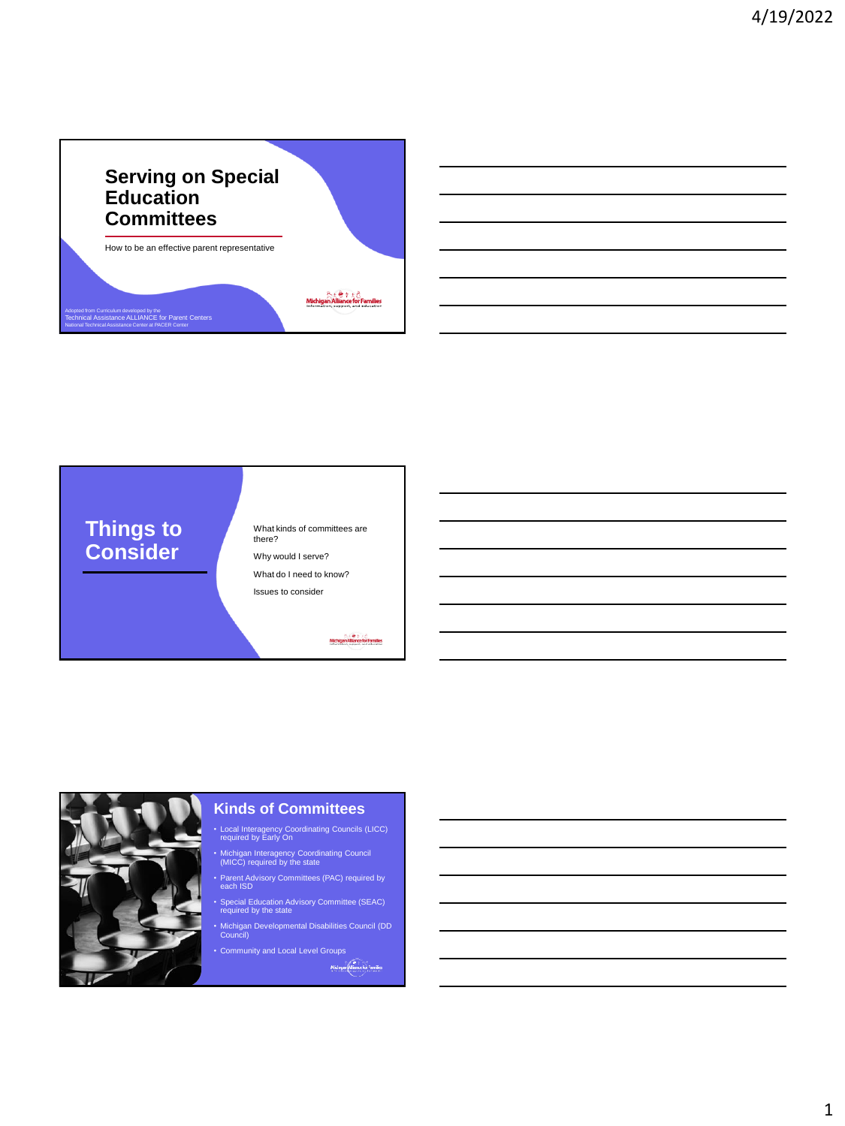





## **Kinds of Committees**

- Local Interagency Coordinating Councils (LICC) required by Early On
- Michigan Interagency Coordinating Council (MICC) required by the state
- Parent Advisory Committees (PAC) required by each ISD
- Special Education Advisory Committee (SEAC) required by the state
- Michigan Developmental Disabilities Council (DD Council)
- Community and Local Level Groups

Michigan Misnes for Families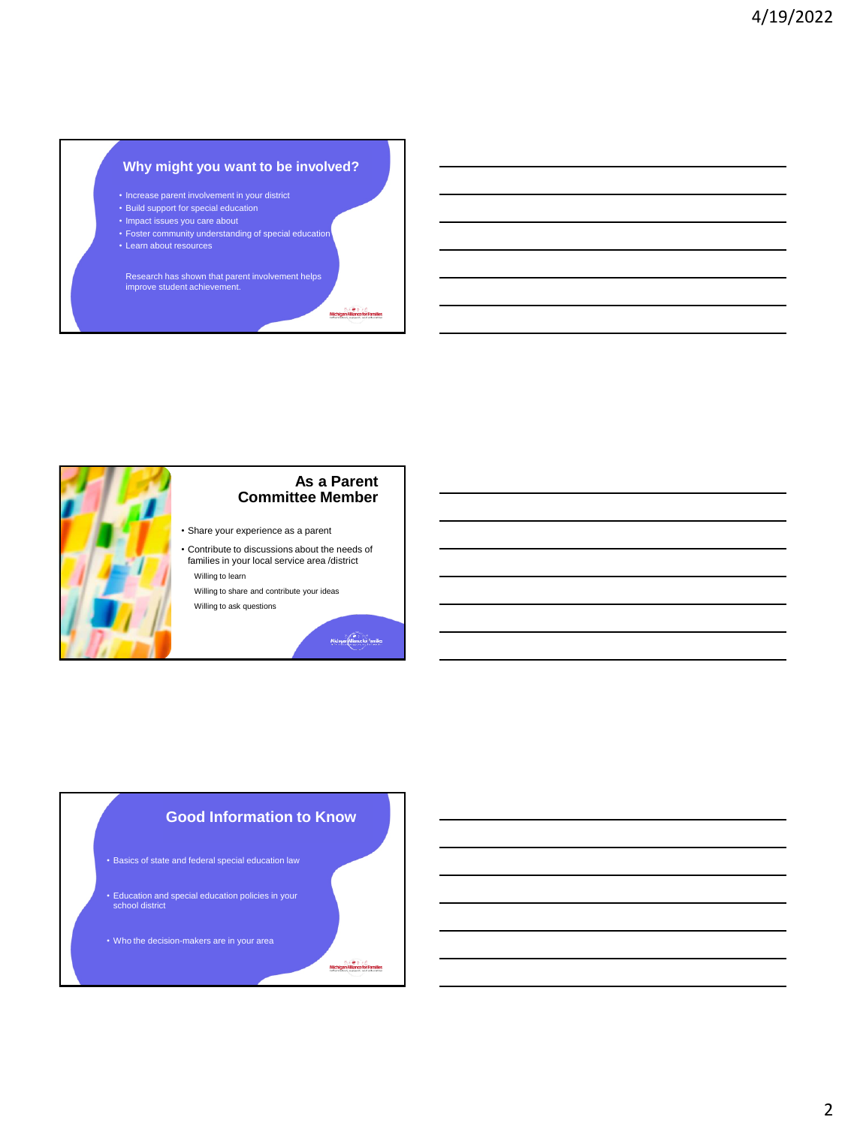## **Why might you want to be involved?**

- Increase parent involvement in your district
- Build support for special education
- Impact issues you care about
- Foster community understanding of special education
- Learn about resources

Research has shown that parent involvement helps improve student achievement.



## **As a Parent Committee Member**

- Share your experience as a parent
- Contribute to discussions about the needs of families in your local service area /district Willing to learn

Willing to share and contribute your ideas Willing to ask questions

 $\underbrace{\begin{array}{c} \text{Midhignive for families} \end{array}}$ 

Michigan Alliance for Families

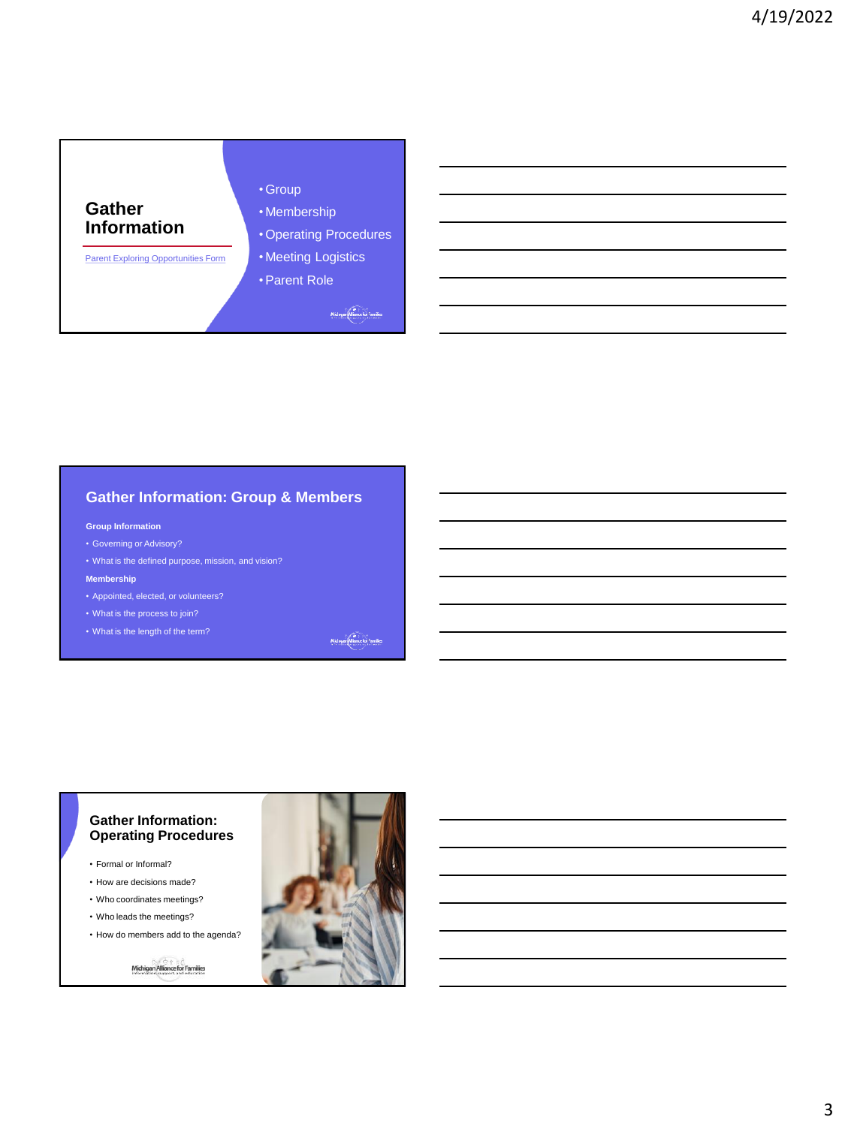

# **Gather Information: Group & Members**

#### **Group Information**

- Governing or Advisory?
- What is the defined purpose, mission, and vision?

#### **Membership**

- Appointed, elected, or volunteers?
- What is the process to join?
- What is the length of the term?

Michigan Miance for Families

#### **Gather Information: Operating Procedures**

- Formal or Informal?
- How are decisions made?
- Who coordinates meetings?
- Who leads the meetings?
- How do members add to the agenda?



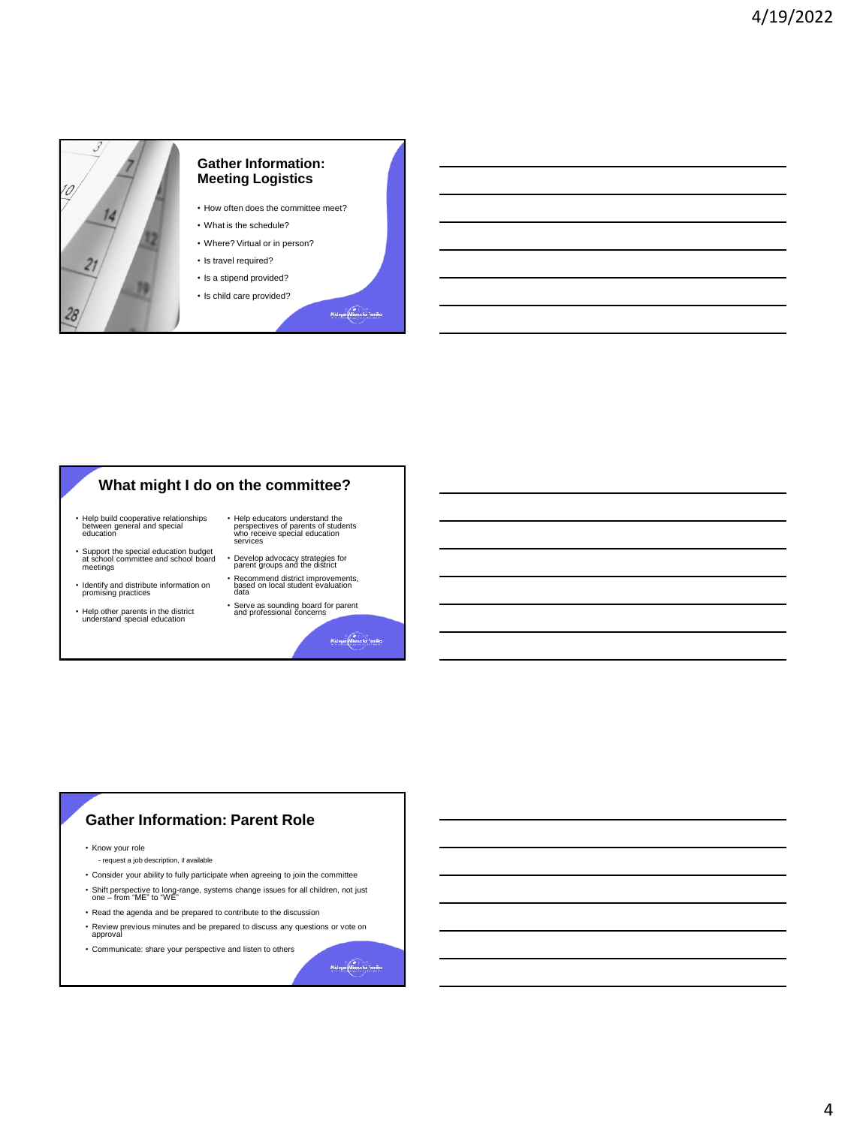

## **What might I do on the committee?**

- Help build cooperative relationships between general and special education
- Support the special education budget at school committee and school board meetings
- Identify and distribute information on promising practices
- Help other parents in the district understand special education
- Help educators understand the perspectives of parents of students who receive special education services
- Develop advocacy strategies for parent groups and the district • Recommend district improvements, based on local student evaluation data
- Serve as sounding board for parent and professional concerns

Michigan Miance for Families

# **Gather Information: Parent Role**

- Know your role
- request a job description, if available
- Consider your ability to fully participate when agreeing to join the committee
- Shift perspective to long-range, systems change issues for all children, not just one from "ME" to "WE"
- Read the agenda and be prepared to contribute to the discussion
- Review previous minutes and be prepared to discuss any questions or vote on approval
- Communicate: share your perspective and listen to others

Michigan Miserce for Families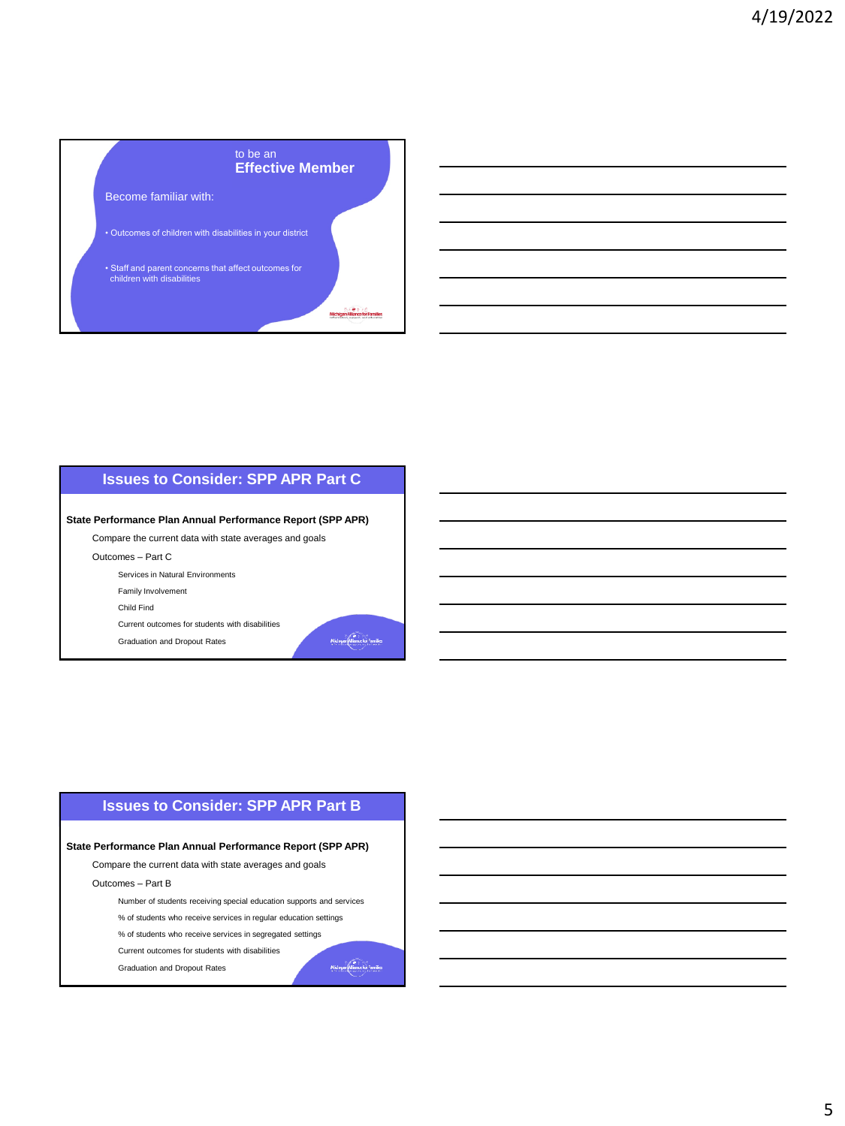

## **Issues to Consider: SPP APR Part C**

**State Performance Plan Annual Performance Report (SPP APR)**

Compare the current data with state averages and goals

Outcomes – Part C

Services in Natural Environments

Family Involvement

Child Find

Current outcomes for students with disabilities Graduation and Dropout Rates

Michigan Miance for Families

Michigan Minner for Families

## **Issues to Consider: SPP APR Part B**

**State Performance Plan Annual Performance Report (SPP APR)**

Compare the current data with state averages and goals

Outcomes – Part B

Number of students receiving special education supports and services

% of students who receive services in regular education settings

% of students who receive services in segregated settings Current outcomes for students with disabilities

Graduation and Dropout Rates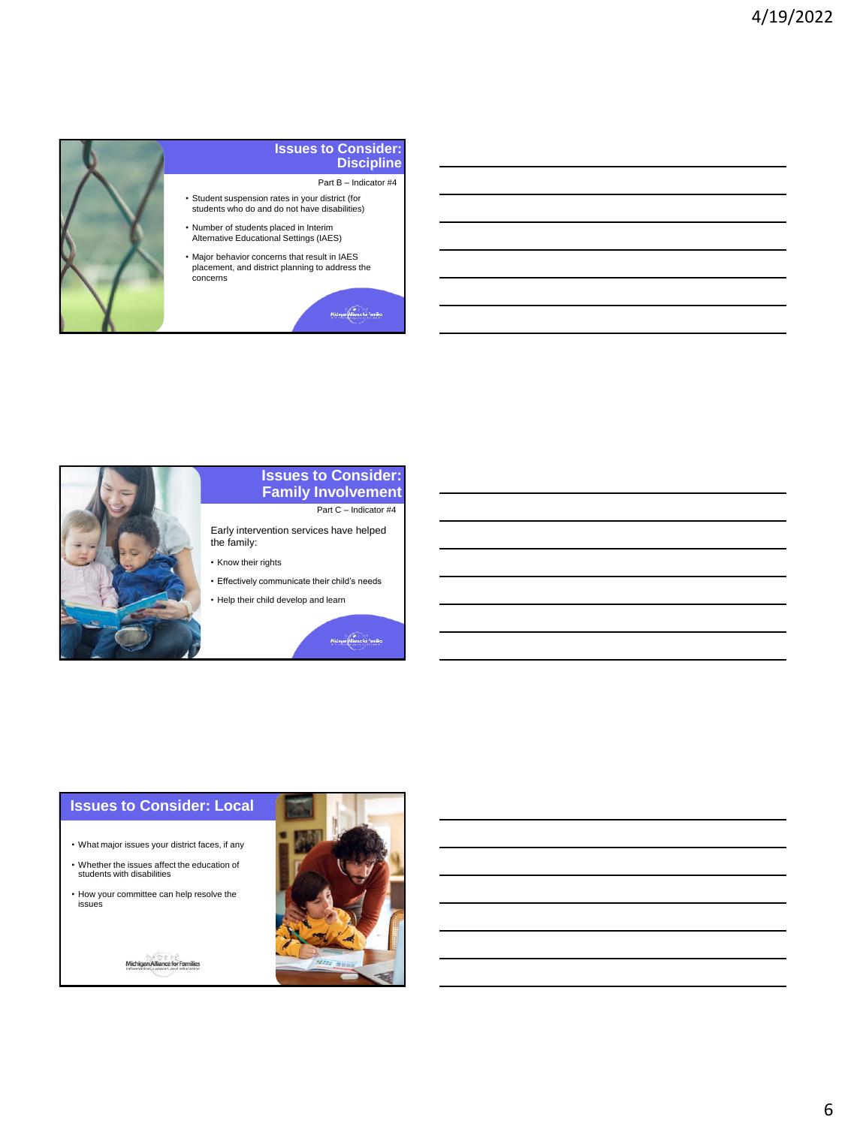

#### **Issues to Consider: Discipline**

Part B – Indicator #4

- Student suspension rates in your district (for students who do and do not have disabilities)
- Number of students placed in Interim Alternative Educational Settings (IAES)
- Major behavior concerns that result in IAES placement, and district planning to address the

Michigan Mismortor Families



## **Issues to Consider: Family Involvement** Part C – Indicator #4

Early intervention services have helped the family:

- Know their rights
- Effectively communicate their child's needs
- Help their child develop and learn

Michigan Misnice for Families

## **Issues to Consider: Local**

- What major issues your district faces, if any
- Whether the issues affect the education of students with disabilities
- How your committee can help resolve the issues



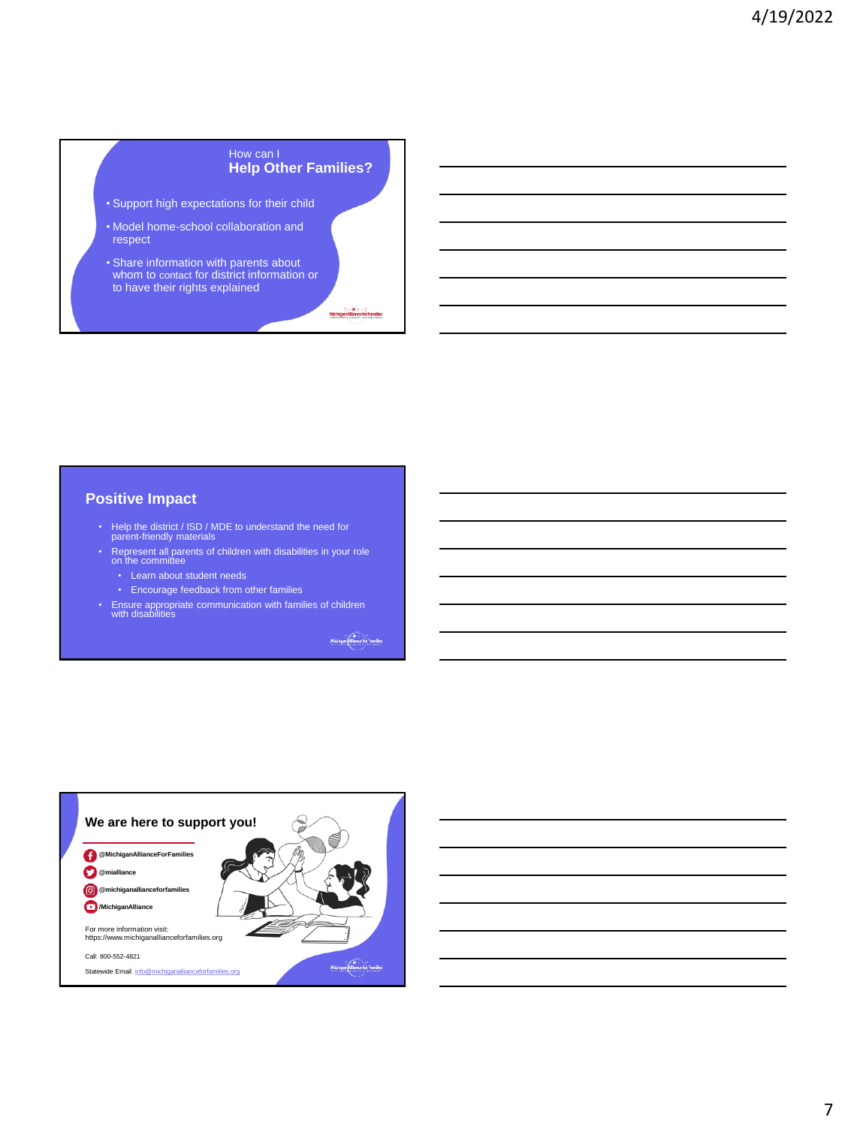#### How can I **Help Other Families?**

- Support high expectations for their child
- Model home-school collaboration and respect
- Share information with parents about whom to contact for district information or to have their rights explained

Michigan Alliance for Families

### **Positive Impact**

- Help the district / ISD / MDE to understand the need for parent-friendly materials
- Represent all parents of children with disabilities in your role on the committee
	- Learn about student needs
	- Encourage feedback from other families
- Ensure appropriate communication with families of children with disabilities

Michigan Miance for Families